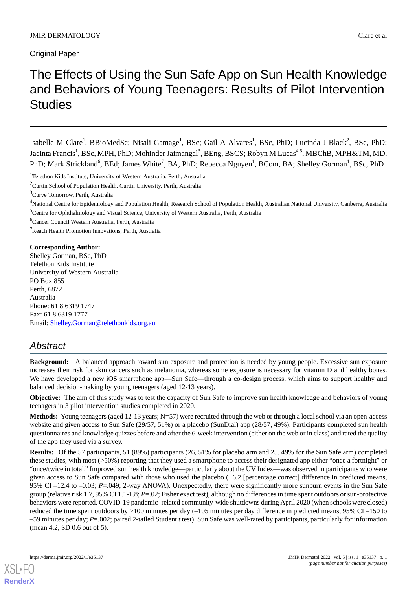# The Effects of Using the Sun Safe App on Sun Health Knowledge and Behaviors of Young Teenagers: Results of Pilot Intervention **Studies**

Isabelle M Clare<sup>1</sup>, BBioMedSc; Nisali Gamage<sup>1</sup>, BSc; Gail A Alvares<sup>1</sup>, BSc, PhD; Lucinda J Black<sup>2</sup>, BSc, PhD; Jacinta Francis<sup>1</sup>, BSc, MPH, PhD; Mohinder Jaimangal<sup>3</sup>, BEng, BSCS; Robyn M Lucas<sup>4,5</sup>, MBChB, MPH&TM, MD, PhD; Mark Strickland<sup>6</sup>, BEd; James White<sup>7</sup>, BA, PhD; Rebecca Nguyen<sup>1</sup>, BCom, BA; Shelley Gorman<sup>1</sup>, BSc, PhD

<sup>6</sup>Cancer Council Western Australia, Perth, Australia

<sup>7</sup>Reach Health Promotion Innovations, Perth, Australia

### **Corresponding Author:**

Shelley Gorman, BSc, PhD Telethon Kids Institute University of Western Australia PO Box 855 Perth, 6872 Australia Phone: 61 8 6319 1747 Fax: 61 8 6319 1777 Email: [Shelley.Gorman@telethonkids.org.au](mailto:Shelley.Gorman@telethonkids.org.au)

# *Abstract*

**Background:** A balanced approach toward sun exposure and protection is needed by young people. Excessive sun exposure increases their risk for skin cancers such as melanoma, whereas some exposure is necessary for vitamin D and healthy bones. We have developed a new iOS smartphone app—Sun Safe—through a co-design process, which aims to support healthy and balanced decision-making by young teenagers (aged 12-13 years).

**Objective:** The aim of this study was to test the capacity of Sun Safe to improve sun health knowledge and behaviors of young teenagers in 3 pilot intervention studies completed in 2020.

**Methods:** Young teenagers (aged 12-13 years; N=57) were recruited through the web or through a local school via an open-access website and given access to Sun Safe (29/57, 51%) or a placebo (SunDial) app (28/57, 49%). Participants completed sun health questionnaires and knowledge quizzes before and after the 6-week intervention (either on the web or in class) and rated the quality of the app they used via a survey.

**Results:** Of the 57 participants, 51 (89%) participants (26, 51% for placebo arm and 25, 49% for the Sun Safe arm) completed these studies, with most (>50%) reporting that they used a smartphone to access their designated app either "once a fortnight" or "once/twice in total." Improved sun health knowledge—particularly about the UV Index—was observed in participants who were given access to Sun Safe compared with those who used the placebo (−6.2 [percentage correct] difference in predicted means, 95% CI –12.4 to –0.03; *P*=.049; 2-way ANOVA). Unexpectedly, there were significantly more sunburn events in the Sun Safe group (relative risk 1.7, 95% CI 1.1-1.8; *P*=.02; Fisher exact test), although no differences in time spent outdoors or sun-protective behaviors were reported. COVID-19 pandemic–related community-wide shutdowns during April 2020 (when schools were closed) reduced the time spent outdoors by >100 minutes per day (–105 minutes per day difference in predicted means, 95% CI –150 to –59 minutes per day; *P*=.002; paired 2-tailed Student *t* test). Sun Safe was well-rated by participants, particularly for information (mean 4.2, SD 0.6 out of 5).

<sup>&</sup>lt;sup>1</sup>Telethon Kids Institute, University of Western Australia, Perth, Australia

<sup>&</sup>lt;sup>2</sup>Curtin School of Population Health, Curtin University, Perth, Australia

<sup>&</sup>lt;sup>3</sup>Curve Tomorrow, Perth, Australia

<sup>4</sup>National Centre for Epidemiology and Population Health, Research School of Population Health, Australian National University, Canberra, Australia <sup>5</sup>Centre for Ophthalmology and Visual Science, University of Western Australia, Perth, Australia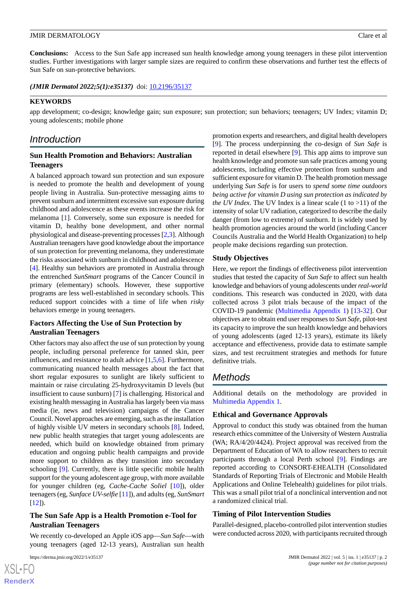**Conclusions:** Access to the Sun Safe app increased sun health knowledge among young teenagers in these pilot intervention studies. Further investigations with larger sample sizes are required to confirm these observations and further test the effects of Sun Safe on sun-protective behaviors.

(JMIR Dermatol 2022;5(1):e35137) doi: [10.2196/35137](http://dx.doi.org/10.2196/35137)

### **KEYWORDS**

app development; co-design; knowledge gain; sun exposure; sun protection; sun behaviors; teenagers; UV Index; vitamin D; young adolescents; mobile phone

# *Introduction*

# **Sun Health Promotion and Behaviors: Australian Teenagers**

A balanced approach toward sun protection and sun exposure is needed to promote the health and development of young people living in Australia. Sun-protective messaging aims to prevent sunburn and intermittent excessive sun exposure during childhood and adolescence as these events increase the risk for melanoma [\[1](#page-11-0)]. Conversely, some sun exposure is needed for vitamin D, healthy bone development, and other normal physiological and disease-preventing processes [[2](#page-11-1)[,3](#page-11-2)]. Although Australian teenagers have good knowledge about the importance of sun protection for preventing melanoma, they underestimate the risks associated with sunburn in childhood and adolescence [[4\]](#page-11-3). Healthy sun behaviors are promoted in Australia through the entrenched *SunSmart* programs of the Cancer Council in primary (elementary) schools. However, these supportive programs are less well-established in secondary schools. This reduced support coincides with a time of life when *risky* behaviors emerge in young teenagers.

# **Factors Affecting the Use of Sun Protection by Australian Teenagers**

Other factors may also affect the use of sun protection by young people, including personal preference for tanned skin, peer influences, and resistance to adult advice [\[1](#page-11-0)[,5,](#page-11-4)[6](#page-11-5)]. Furthermore, communicating nuanced health messages about the fact that short regular exposures to sunlight are likely sufficient to maintain or raise circulating 25-hydroxyvitamin D levels (but insufficient to cause sunburn) [[7\]](#page-11-6) is challenging. Historical and existing health messaging in Australia has largely been via mass media (ie, news and television) campaigns of the Cancer Council. Novel approaches are emerging, such as the installation of highly visible UV meters in secondary schools [\[8](#page-11-7)]. Indeed, new public health strategies that target young adolescents are needed, which build on knowledge obtained from primary education and ongoing public health campaigns and provide more support to children as they transition into secondary schooling [\[9](#page-11-8)]. Currently, there is little specific mobile health support for the young adolescent age group, with more available for younger children (eg, *Cache-Cache Soliel* [[10\]](#page-12-0)), older teenagers (eg, *Sunface UV-selfie* [[11\]](#page-12-1)), and adults (eg, *SunSmart*  $[12]$  $[12]$ ).

# **The Sun Safe App is a Health Promotion e-Tool for Australian Teenagers**

We recently co-developed an Apple iOS app—*Sun Safe*—with young teenagers (aged 12-13 years), Australian sun health

[XSL](http://www.w3.org/Style/XSL)•FO **[RenderX](http://www.renderx.com/)**

promotion experts and researchers, and digital health developers [[9\]](#page-11-8). The process underpinning the co-design of *Sun Safe* is reported in detail elsewhere [\[9\]](#page-11-8). This app aims to improve sun health knowledge and promote sun safe practices among young adolescents, including effective protection from sunburn and sufficient exposure for vitamin D. The health promotion message underlying *Sun Safe* is for users to *spend some time outdoors being active for vitamin D using sun protection as indicated by the UV Index.* The UV Index is a linear scale  $(1 \text{ to } >11)$  of the intensity of solar UV radiation, categorized to describe the daily danger (from low to extreme) of sunburn. It is widely used by health promotion agencies around the world (including Cancer Councils Australia and the World Health Organization) to help people make decisions regarding sun protection.

# **Study Objectives**

Here, we report the findings of effectiveness pilot intervention studies that tested the capacity of *Sun Safe* to affect sun health knowledge and behaviors of young adolescents under *real-world* conditions. This research was conducted in 2020, with data collected across 3 pilot trials because of the impact of the COVID-19 pandemic ([Multimedia Appendix 1\)](#page-11-9) [[13-](#page-12-3)[32](#page-12-4)]. Our objectives are to obtain end user responses to *Sun Safe*, pilot-test its capacity to improve the sun health knowledge and behaviors of young adolescents (aged 12-13 years), estimate its likely acceptance and effectiveness, provide data to estimate sample sizes, and test recruitment strategies and methods for future definitive trials.

# *Methods*

Additional details on the methodology are provided in [Multimedia Appendix 1.](#page-11-9)

# **Ethical and Governance Approvals**

Approval to conduct this study was obtained from the human research ethics committee of the University of Western Australia (WA; RA/4/20/4424). Project approval was received from the Department of Education of WA to allow researchers to recruit participants through a local Perth school [[9\]](#page-11-8). Findings are reported according to CONSORT-EHEALTH (Consolidated Standards of Reporting Trials of Electronic and Mobile Health Applications and Online Telehealth) guidelines for pilot trials. This was a small pilot trial of a nonclinical intervention and not a randomized clinical trial.

# **Timing of Pilot Intervention Studies**

Parallel-designed, placebo-controlled pilot intervention studies were conducted across 2020, with participants recruited through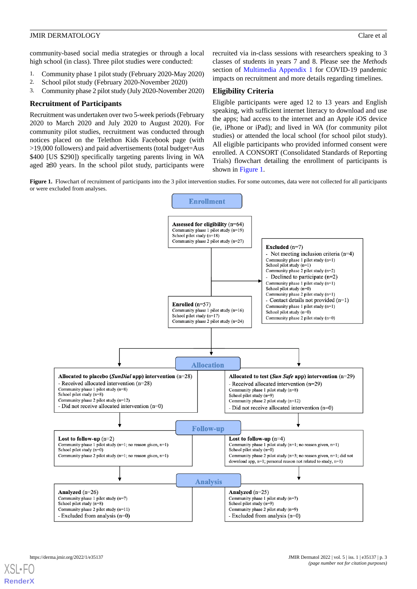community-based social media strategies or through a local high school (in class). Three pilot studies were conducted:

- 1. Community phase 1 pilot study (February 2020-May 2020)
- 2. School pilot study (February 2020-November 2020)
- 3. Community phase 2 pilot study (July 2020-November 2020)

### **Recruitment of Participants**

Recruitment was undertaken over two 5-week periods (February 2020 to March 2020 and July 2020 to August 2020). For community pilot studies, recruitment was conducted through notices placed on the Telethon Kids Facebook page (with >19,000 followers) and paid advertisements (total budget=Aus \$400 [US \$290]) specifically targeting parents living in WA aged  $\geq$ 30 years. In the school pilot study, participants were

recruited via in-class sessions with researchers speaking to 3 classes of students in years 7 and 8. Please see the *Methods* section of [Multimedia Appendix 1](#page-11-9) for COVID-19 pandemic impacts on recruitment and more details regarding timelines.

### **Eligibility Criteria**

Eligible participants were aged 12 to 13 years and English speaking, with sufficient internet literacy to download and use the apps; had access to the internet and an Apple iOS device (ie, iPhone or iPad); and lived in WA (for community pilot studies) or attended the local school (for school pilot study). All eligible participants who provided informed consent were enrolled. A CONSORT (Consolidated Standards of Reporting Trials) flowchart detailing the enrollment of participants is shown in [Figure 1.](#page-2-0)

<span id="page-2-0"></span>**Figure 1.** Flowchart of recruitment of participants into the 3 pilot intervention studies. For some outcomes, data were not collected for all participants or were excluded from analyses.

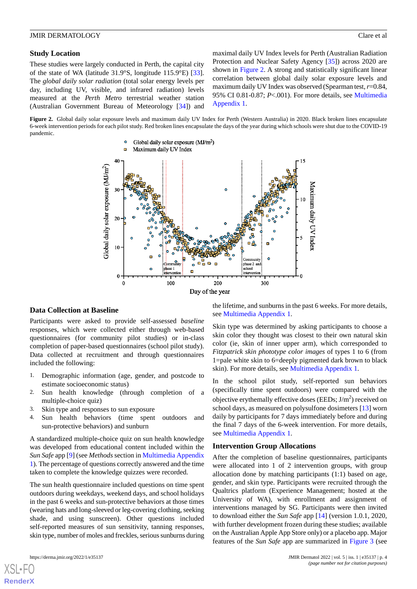### **Study Location**

These studies were largely conducted in Perth, the capital city of the state of WA (latitude 31.9°S, longitude 115.9°E) [[33\]](#page-12-5). The *global daily solar radiation* (total solar energy levels per day, including UV, visible, and infrared radiation) levels measured at the *Perth Metro* terrestrial weather station (Australian Government Bureau of Meteorology [\[34](#page-13-0)]) and maximal daily UV Index levels for Perth (Australian Radiation Protection and Nuclear Safety Agency [\[35](#page-13-1)]) across 2020 are shown in [Figure 2.](#page-3-0) A strong and statistically significant linear correlation between global daily solar exposure levels and maximum daily UV Index was observed (Spearman test, *r*=0.84, 95% CI 0.81-0.87; *P*<.001). For more details, see [Multimedia](#page-11-9) [Appendix 1.](#page-11-9)

<span id="page-3-0"></span>**Figure 2.** Global daily solar exposure levels and maximum daily UV Index for Perth (Western Australia) in 2020. Black broken lines encapsulate 6-week intervention periods for each pilot study. Red broken lines encapsulate the days of the year during which schools were shut due to the COVID-19 pandemic.



#### **Data Collection at Baseline**

Participants were asked to provide self-assessed *baseline* responses, which were collected either through web-based questionnaires (for community pilot studies) or in-class completion of paper-based questionnaires (school pilot study). Data collected at recruitment and through questionnaires included the following:

- 1. Demographic information (age, gender, and postcode to estimate socioeconomic status)
- 2. Sun health knowledge (through completion of a multiple-choice quiz)
- 3. Skin type and responses to sun exposure
- 4. Sun health behaviors (time spent outdoors and sun-protective behaviors) and sunburn

A standardized multiple-choice quiz on sun health knowledge was developed from educational content included within the *Sun Safe* app [\[9\]](#page-11-8) (see *Methods* section in [Multimedia Appendix](#page-11-9) [1\)](#page-11-9). The percentage of questions correctly answered and the time taken to complete the knowledge quizzes were recorded.

The sun health questionnaire included questions on time spent outdoors during weekdays, weekend days, and school holidays in the past 6 weeks and sun-protective behaviors at those times (wearing hats and long-sleeved or leg-covering clothing, seeking shade, and using sunscreen). Other questions included self-reported measures of sun sensitivity, tanning responses, skin type, number of moles and freckles, serious sunburns during

[XSL](http://www.w3.org/Style/XSL)•FO **[RenderX](http://www.renderx.com/)**

the lifetime, and sunburns in the past 6 weeks. For more details, see [Multimedia Appendix 1](#page-11-9).

Skin type was determined by asking participants to choose a skin color they thought was closest to their own natural skin color (ie, skin of inner upper arm), which corresponded to *Fitzpatrick skin phototype color images* of types 1 to 6 (from 1=pale white skin to 6=deeply pigmented dark brown to black skin). For more details, see [Multimedia Appendix 1](#page-11-9).

In the school pilot study, self-reported sun behaviors (specifically time spent outdoors) were compared with the objective erythemally effective doses (EEDs;  $J/m<sup>2</sup>$ ) received on school days, as measured on polysulfone dosimeters [[13\]](#page-12-3) worn daily by participants for 7 days immediately before and during the final 7 days of the 6-week intervention. For more details, see [Multimedia Appendix 1](#page-11-9).

### **Intervention Group Allocations**

After the completion of baseline questionnaires, participants were allocated into 1 of 2 intervention groups, with group allocation done by matching participants (1:1) based on age, gender, and skin type. Participants were recruited through the Qualtrics platform (Experience Management; hosted at the University of WA), with enrollment and assignment of interventions managed by SG. Participants were then invited to download either the *Sun Safe* app [[14\]](#page-12-6) (version 1.0.1, 2020, with further development frozen during these studies; available on the Australian Apple App Store only) or a placebo app. Major features of the *Sun Safe* app are summarized in [Figure 3](#page-4-0) (see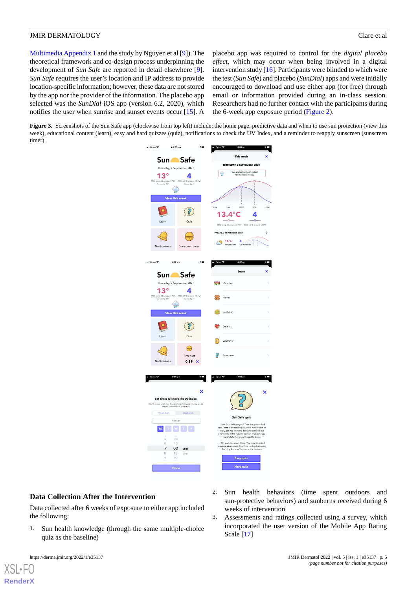[Multimedia Appendix 1](#page-11-9) and the study by Nguyen et al [\[9](#page-11-8)]). The theoretical framework and co-design process underpinning the development of *Sun Safe* are reported in detail elsewhere [[9\]](#page-11-8). *Sun Safe* requires the user's location and IP address to provide location-specific information; however, these data are not stored by the app nor the provider of the information. The placebo app selected was the *SunDial* iOS app (version 6.2, 2020), which notifies the user when sunrise and sunset events occur [[15\]](#page-12-7). A placebo app was required to control for the *digital placebo effect*, which may occur when being involved in a digital intervention study [[16](#page-12-8)]. Participants were blinded to which were the test (*Sun Safe*) and placebo (*SunDial*) apps and were initially encouraged to download and use either app (for free) through email or information provided during an in-class session. Researchers had no further contact with the participants during the 6-week app exposure period [\(Figure 2\)](#page-3-0).

<span id="page-4-0"></span>**Figure 3.** Screenshots of the Sun Safe app (clockwise from top left) include: the home page, predictive data and when to use sun protection (view this week), educational content (learn), easy and hard quizzes (quiz), notifications to check the UV Index, and a reminder to reapply sunscreen (sunscreen timer).



### **Data Collection After the Intervention**

Data collected after 6 weeks of exposure to either app included the following:

- 1. Sun health knowledge (through the same multiple-choice quiz as the baseline)
	-

 $XS$  • FOR **[RenderX](http://www.renderx.com/)**

- 2. Sun health behaviors (time spent outdoors and sun-protective behaviors) and sunburns received during 6 weeks of intervention
- 3. Assessments and ratings collected using a survey, which incorporated the user version of the Mobile App Rating Scale [\[17](#page-12-9)]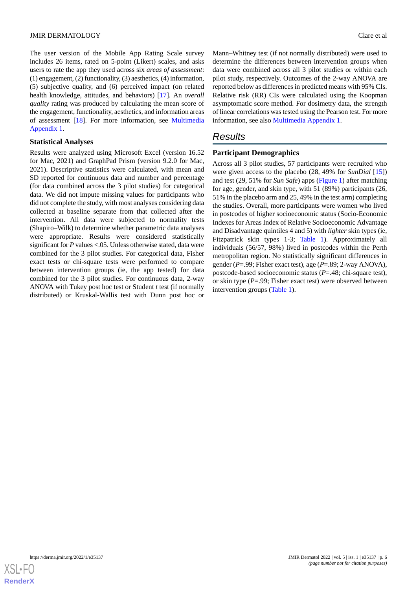The user version of the Mobile App Rating Scale survey includes 26 items, rated on 5-point (Likert) scales, and asks users to rate the app they used across six *areas of assessment*: (1) engagement, (2) functionality, (3) aesthetics, (4) information, (5) subjective quality, and (6) perceived impact (on related health knowledge, attitudes, and behaviors) [\[17](#page-12-9)]. An *overall quality* rating was produced by calculating the mean score of the engagement, functionality, aesthetics, and information areas of assessment [\[18](#page-12-10)]. For more information, see [Multimedia](#page-11-9) [Appendix 1.](#page-11-9)

### **Statistical Analyses**

Results were analyzed using Microsoft Excel (version 16.52 for Mac, 2021) and GraphPad Prism (version 9.2.0 for Mac, 2021). Descriptive statistics were calculated, with mean and SD reported for continuous data and number and percentage (for data combined across the 3 pilot studies) for categorical data. We did not impute missing values for participants who did not complete the study, with most analyses considering data collected at baseline separate from that collected after the intervention. All data were subjected to normality tests (Shapiro–Wilk) to determine whether parametric data analyses were appropriate. Results were considered statistically significant for *P* values <.05. Unless otherwise stated, data were combined for the 3 pilot studies. For categorical data, Fisher exact tests or chi-square tests were performed to compare between intervention groups (ie, the app tested) for data combined for the 3 pilot studies. For continuous data, 2-way ANOVA with Tukey post hoc test or Student *t* test (if normally distributed) or Kruskal-Wallis test with Dunn post hoc or

Mann–Whitney test (if not normally distributed) were used to determine the differences between intervention groups when data were combined across all 3 pilot studies or within each pilot study, respectively. Outcomes of the 2-way ANOVA are reported below as differences in predicted means with 95% CIs. Relative risk (RR) CIs were calculated using the Koopman asymptomatic score method. For dosimetry data, the strength of linear correlations was tested using the Pearson test. For more information, see also [Multimedia Appendix 1.](#page-11-9)

# *Results*

# **Participant Demographics**

Across all 3 pilot studies, 57 participants were recruited who were given access to the placebo (28, 49% for *SunDial* [\[15](#page-12-7)]) and test (29, 51% for *Sun Safe*) apps [\(Figure 1\)](#page-2-0) after matching for age, gender, and skin type, with 51 (89%) participants (26, 51% in the placebo arm and 25, 49% in the test arm) completing the studies. Overall, more participants were women who lived in postcodes of higher socioeconomic status (Socio-Economic Indexes for Areas Index of Relative Socioeconomic Advantage and Disadvantage quintiles 4 and 5) with *lighter* skin types (ie, Fitzpatrick skin types 1-3; [Table 1](#page-6-0)). Approximately all individuals (56/57, 98%) lived in postcodes within the Perth metropolitan region. No statistically significant differences in gender (*P*=.99; Fisher exact test), age (*P*=.89; 2-way ANOVA), postcode-based socioeconomic status (*P*=.48; chi-square test), or skin type (*P*=.99; Fisher exact test) were observed between intervention groups [\(Table 1\)](#page-6-0).

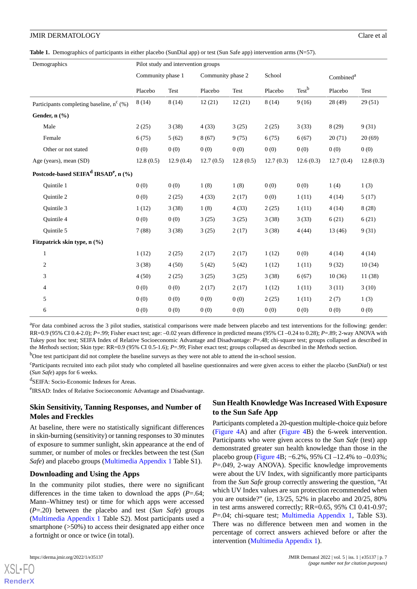<span id="page-6-0"></span>**Table 1.** Demographics of participants in either placebo (SunDial app) or test (Sun Safe app) intervention arms (N=57).

| Demographics                                                 | Pilot study and intervention groups |           |                   |           |           |                   |                       |           |
|--------------------------------------------------------------|-------------------------------------|-----------|-------------------|-----------|-----------|-------------------|-----------------------|-----------|
|                                                              | Community phase 1                   |           | Community phase 2 |           | School    |                   | Combined <sup>a</sup> |           |
|                                                              | Placebo                             | Test      | Placebo           | Test      | Placebo   | Test <sup>b</sup> | Placebo               | Test      |
| Participants completing baseline, $n^{c}$ (%)                | 8(14)                               | 8(14)     | 12(21)            | 12(21)    | 8(14)     | 9(16)             | 28(49)                | 29(51)    |
| Gender, $n$ $(\%)$                                           |                                     |           |                   |           |           |                   |                       |           |
| Male                                                         | 2(25)                               | 3(38)     | 4(33)             | 3(25)     | 2(25)     | 3(33)             | 8(29)                 | 9(31)     |
| Female                                                       | 6(75)                               | 5(62)     | 8(67)             | 9(75)     | 6(75)     | 6(67)             | 20(71)                | 20(69)    |
| Other or not stated                                          | 0(0)                                | 0(0)      | 0(0)              | 0(0)      | 0(0)      | 0(0)              | 0(0)                  | 0(0)      |
| Age (years), mean (SD)                                       | 12.8(0.5)                           | 12.9(0.4) | 12.7(0.5)         | 12.8(0.5) | 12.7(0.3) | 12.6(0.3)         | 12.7(0.4)             | 12.8(0.3) |
| Postcode-based SEIFA <sup>d</sup> IRSAD <sup>e</sup> , n (%) |                                     |           |                   |           |           |                   |                       |           |
| Quintile 1                                                   | 0(0)                                | 0(0)      | 1(8)              | 1(8)      | 0(0)      | 0(0)              | 1(4)                  | 1(3)      |
| <b>Ouintile 2</b>                                            | 0(0)                                | 2(25)     | 4(33)             | 2(17)     | 0(0)      | 1(11)             | 4(14)                 | 5(17)     |
| Quintile 3                                                   | 1(12)                               | 3(38)     | 1(8)              | 4(33)     | 2(25)     | 1(11)             | 4(14)                 | 8(28)     |
| <b>Ouintile 4</b>                                            | 0(0)                                | 0(0)      | 3(25)             | 3(25)     | 3(38)     | 3(33)             | 6(21)                 | 6(21)     |
| Quintile 5                                                   | 7(88)                               | 3(38)     | 3(25)             | 2(17)     | 3(38)     | 4(44)             | 13(46)                | 9(31)     |
| Fitzpatrick skin type, $n$ (%)                               |                                     |           |                   |           |           |                   |                       |           |
| $\mathbf{1}$                                                 | 1(12)                               | 2(25)     | 2(17)             | 2(17)     | 1(12)     | 0(0)              | 4(14)                 | 4(14)     |
| $\overline{c}$                                               | 3(38)                               | 4(50)     | 5(42)             | 5(42)     | 1(12)     | 1(11)             | 9(32)                 | 10(34)    |
| 3                                                            | 4(50)                               | 2(25)     | 3(25)             | 3(25)     | 3(38)     | 6(67)             | 10(36)                | 11 (38)   |
| 4                                                            | 0(0)                                | 0(0)      | 2(17)             | 2(17)     | 1(12)     | 1(11)             | 3(11)                 | 3(10)     |
| 5                                                            | 0(0)                                | 0(0)      | 0(0)              | 0(0)      | 2(25)     | 1(11)             | 2(7)                  | 1(3)      |
| 6                                                            | 0(0)                                | 0(0)      | 0(0)              | 0(0)      | 0(0)      | 0(0)              | 0(0)                  | 0(0)      |

<sup>a</sup>For data combined across the 3 pilot studies, statistical comparisons were made between placebo and test interventions for the following: gender: RR=0.9 (95% CI 0.4-2.0); *P*=.99; Fisher exact test; age: –0.02 years difference in predicted means (95% CI –0.24 to 0.28); *P*=.89; 2-way ANOVA with Tukey post hoc test; SEIFA Index of Relative Socioeconomic Advantage and Disadvantage: *P*=.48; chi-square test; groups collapsed as described in the *Methods* section; Skin type: RR=0.9 (95% CI 0.5-1.6); *P*=.99; Fisher exact test; groups collapsed as described in the *Methods* section.

<sup>b</sup>One test participant did not complete the baseline surveys as they were not able to attend the in-school session.

c Participants recruited into each pilot study who completed all baseline questionnaires and were given access to either the placebo (*SunDial*) or test (*Sun Safe*) apps for 6 weeks.

d SEIFA: Socio-Economic Indexes for Areas.

e IRSAD: Index of Relative Socioeconomic Advantage and Disadvantage.

# **Skin Sensitivity, Tanning Responses, and Number of Moles and Freckles**

At baseline, there were no statistically significant differences in skin-burning (sensitivity) or tanning responses to 30 minutes of exposure to summer sunlight, skin appearance at the end of summer, or number of moles or freckles between the test (*Sun Safe*) and placebo groups [\(Multimedia Appendix 1](#page-11-9) Table S1).

### **Downloading and Using the Apps**

In the community pilot studies, there were no significant differences in the time taken to download the apps (*P*=.64; Mann–Whitney test) or time for which apps were accessed (*P*=.20) between the placebo and test (*Sun Safe*) groups ([Multimedia Appendix 1](#page-11-9) Table S2). Most participants used a smartphone ( $>50\%$ ) to access their designated app either once a fortnight or once or twice (in total).

# **Sun Health Knowledge Was Increased With Exposure to the Sun Safe App**

Participants completed a 20-question multiple-choice quiz before ([Figure 4](#page-7-0)A) and after [\(Figure 4](#page-7-0)B) the 6-week intervention. Participants who were given access to the *Sun Safe* (test) app demonstrated greater sun health knowledge than those in the placebo group [\(Figure 4B](#page-7-0); −6.2%, 95% CI –12.4% to –0.03%; *P*=.049, 2-way ANOVA). Specific knowledge improvements were about the UV Index, with significantly more participants from the *Sun Safe* group correctly answering the question, "At which UV Index values are sun protection recommended when you are outside?" (ie, 13/25, 52% in placebo and 20/25, 80% in test arms answered correctly; RR=0.65, 95% CI 0.41-0.97; *P*=.04; chi-square test; [Multimedia Appendix 1,](#page-11-9) Table S3). There was no difference between men and women in the percentage of correct answers achieved before or after the intervention ([Multimedia Appendix 1\)](#page-11-9).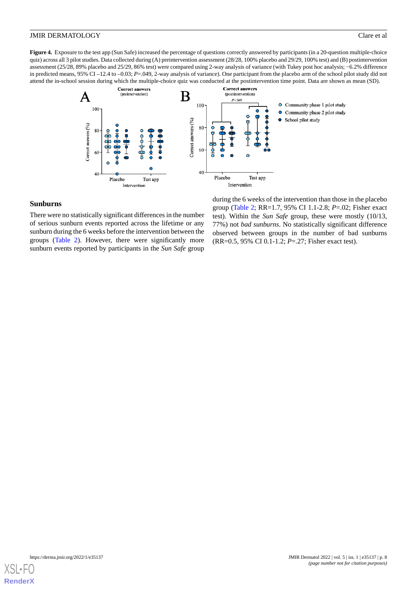<span id="page-7-0"></span>**Figure 4.** Exposure to the test app (Sun Safe) increased the percentage of questions correctly answered by participants (in a 20-question multiple-choice quiz) across all 3 pilot studies. Data collected during (A) preintervention assessment (28/28, 100% placebo and 29/29, 100% test) and (B) postintervention assessment (25/28, 89% placebo and 25/29, 86% test) were compared using 2-way analysis of variance (with Tukey post hoc analysis; −6.2% difference in predicted means, 95% CI –12.4 to –0.03; *P*=.049, 2-way analysis of variance). One participant from the placebo arm of the school pilot study did not attend the in-school session during which the multiple-choice quiz was conducted at the postintervention time point. Data are shown as mean (SD).



### **Sunburns**

There were no statistically significant differences in the number of serious sunburn events reported across the lifetime or any sunburn during the 6 weeks before the intervention between the groups [\(Table 2\)](#page-8-0). However, there were significantly more sunburn events reported by participants in the *Sun Safe* group

during the 6 weeks of the intervention than those in the placebo group [\(Table 2](#page-8-0); RR=1.7, 95% CI 1.1-2.8; *P*=.02; Fisher exact test). Within the *Sun Safe* group, these were mostly (10/13, 77%) not *bad sunburns*. No statistically significant difference observed between groups in the number of bad sunburns (RR=0.5, 95% CI 0.1-1.2; *P*=.27; Fisher exact test).

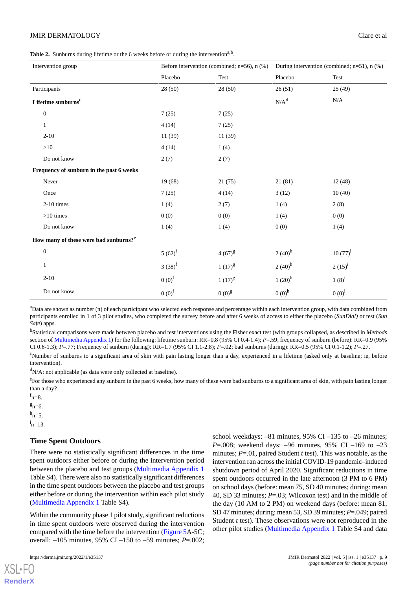<span id="page-8-0"></span>Table 2. Sunburns during lifetime or the 6 weeks before or during the intervention<sup>a,b</sup>.

| Intervention group                                | Before intervention (combined; $n=56$ ), $n$ (%) |                   | During intervention (combined; $n=51$ ), $n$ (%) |              |
|---------------------------------------------------|--------------------------------------------------|-------------------|--------------------------------------------------|--------------|
|                                                   | Placebo                                          | Test              | Placebo                                          | Test         |
| Participants                                      | 28 (50)                                          | 28 (50)           | 26(51)                                           | 25(49)       |
| Lifetime sunburns <sup>c</sup>                    |                                                  |                   | $N/A^d$                                          | N/A          |
| $\boldsymbol{0}$                                  | 7(25)                                            | 7(25)             |                                                  |              |
| $\mathbf{1}$                                      | 4(14)                                            | 7(25)             |                                                  |              |
| $2 - 10$                                          | 11(39)                                           | 11(39)            |                                                  |              |
| $>10$                                             | 4(14)                                            | 1(4)              |                                                  |              |
| Do not know                                       | 2(7)                                             | 2(7)              |                                                  |              |
| Frequency of sunburn in the past 6 weeks          |                                                  |                   |                                                  |              |
| Never                                             | 19(68)                                           | 21(75)            | 21(81)                                           | 12(48)       |
| Once                                              | 7(25)                                            | 4(14)             | 3(12)                                            | 10(40)       |
| 2-10 times                                        | 1(4)                                             | 2(7)              | 1(4)                                             | 2(8)         |
| $>10$ times                                       | 0(0)                                             | 0(0)              | 1(4)                                             | 0(0)         |
| Do not know                                       | 1(4)                                             | 1(4)              | 0(0)                                             | 1(4)         |
| How many of these were bad sunburns? <sup>e</sup> |                                                  |                   |                                                  |              |
| $\boldsymbol{0}$                                  | $5(62)^f$                                        | $4(67)^{g}$       | $2(40)$ <sup>h</sup>                             | $10(77)^{i}$ |
| $\mathbf{1}$                                      | $3(38)^f$                                        | $1(17)^{g}$       | $2(40)^h$                                        | $2(15)^{i}$  |
| $2 - 10$                                          | $0(0)$ <sup>f</sup>                              | $1(17)^{g}$       | $1(20)^h$                                        | $1(8)^{i}$   |
| Do not know                                       | $0(0)$ <sup>f</sup>                              | 0(0) <sup>g</sup> | $0(0)^h$                                         | $0(0)^{i}$   |

<sup>a</sup>Data are shown as number (n) of each participant who selected each response and percentage within each intervention group, with data combined from participants enrolled in 1 of 3 pilot studies, who completed the survey before and after 6 weeks of access to either the placebo (*SunDial)* or test (*Sun Safe*) apps.

b Statistical comparisons were made between placebo and test interventions using the Fisher exact test (with groups collapsed, as described in *Methods* section of [Multimedia Appendix 1\)](#page-11-9) for the following: lifetime sunburn: RR=0.8 (95% CI 0.4-1.4); *P*=.59; frequency of sunburn (before): RR=0.9 (95% CI 0.6-1.3); *P*=.77; Frequency of sunburn (during): RR=1.7 (95% CI 1.1-2.8); *P*=.02; bad sunburns (during): RR=0.5 (95% CI 0.1-1.2); *P*=.27.

<sup>c</sup>Number of sunburns to a significant area of skin with pain lasting longer than a day, experienced in a lifetime (asked only at baseline; ie, before intervention).

 $d_{N/A}$ : not applicable (as data were only collected at baseline).

<sup>e</sup> For those who experienced any sunburn in the past 6 weeks, how many of these were bad sunburns to a significant area of skin, with pain lasting longer than a day?

 $f_{n=8}$ .

 $g_{n=6}$ .

 $^{\rm h}$ n=5.

 $i_{n=13}$ .

[XSL](http://www.w3.org/Style/XSL)•FO **[RenderX](http://www.renderx.com/)**

### **Time Spent Outdoors**

There were no statistically significant differences in the time spent outdoors either before or during the intervention period between the placebo and test groups ([Multimedia Appendix 1](#page-11-9) Table S4). There were also no statistically significant differences in the time spent outdoors between the placebo and test groups either before or during the intervention within each pilot study ([Multimedia Appendix 1](#page-11-9) Table S4).

Within the community phase 1 pilot study, significant reductions in time spent outdoors were observed during the intervention compared with the time before the intervention ([Figure 5A](#page-9-0)-5C; overall: –105 minutes, 95% CI –150 to –59 minutes; *P*=.002;

school weekdays: –81 minutes, 95% CI –135 to –26 minutes; *P*=.008; weekend days: –96 minutes, 95% CI –169 to –23 minutes; *P*=.01, paired Student *t* test). This was notable, as the intervention ran across the initial COVID-19 pandemic–induced shutdown period of April 2020. Significant reductions in time spent outdoors occurred in the late afternoon (3 PM to 6 PM) on school days (before: mean 75, SD 40 minutes; during: mean 40, SD 33 minutes; *P*=.03; Wilcoxon test) and in the middle of the day (10 AM to 2 PM) on weekend days (before: mean 81, SD 47 minutes; during: mean 53, SD 39 minutes; *P*=.049; paired Student *t* test). These observations were not reproduced in the other pilot studies ([Multimedia Appendix 1](#page-11-9) Table S4 and data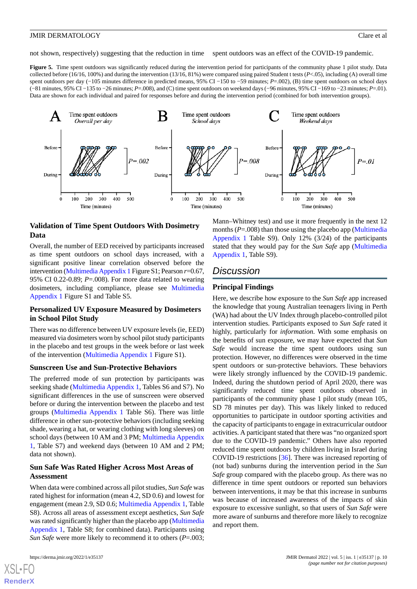not shown, respectively) suggesting that the reduction in time spent outdoors was an effect of the COVID-19 pandemic.

<span id="page-9-0"></span>Figure 5. Time spent outdoors was significantly reduced during the intervention period for participants of the community phase 1 pilot study. Data collected before (16/16, 100%) and during the intervention (13/16, 81%) were compared using paired Student t tests (*P*<.05), including (A) overall time spent outdoors per day (−105 minutes difference in predicted means, 95% CI −150 to −59 minutes; *P*=.002), (B) time spent outdoors on school days (−81 minutes, 95% CI −135 to −26 minutes; *P*=.008), and (C) time spent outdoors on weekend days (−96 minutes, 95% CI −169 to −23 minutes; *P*=.01). Data are shown for each individual and paired for responses before and during the intervention period (combined for both intervention groups).



# **Validation of Time Spent Outdoors With Dosimetry Data**

Overall, the number of EED received by participants increased as time spent outdoors on school days increased, with a significant positive linear correlation observed before the intervention [\(Multimedia Appendix 1](#page-11-9)Figure S1; Pearson *r*=0.67, 95% CI 0.22-0.89; *P*=.008). For more data related to wearing dosimeters, including compliance, please see [Multimedia](#page-11-9) [Appendix 1](#page-11-9) Figure S1 and Table S5.

### **Personalized UV Exposure Measured by Dosimeters in School Pilot Study**

There was no difference between UV exposure levels (ie, EED) measured via dosimeters worn by school pilot study participants in the placebo and test groups in the week before or last week of the intervention [\(Multimedia Appendix 1](#page-11-9) Figure S1).

### **Sunscreen Use and Sun-Protective Behaviors**

The preferred mode of sun protection by participants was seeking shade ([Multimedia Appendix 1,](#page-11-9) Tables S6 and S7). No significant differences in the use of sunscreen were observed before or during the intervention between the placebo and test groups [\(Multimedia Appendix 1](#page-11-9) Table S6). There was little difference in other sun-protective behaviors (including seeking shade, wearing a hat, or wearing clothing with long sleeves) on school days (between 10 AM and 3 PM; [Multimedia Appendix](#page-11-9) [1,](#page-11-9) Table S7) and weekend days (between 10 AM and 2 PM; data not shown).

### **Sun Safe Was Rated Higher Across Most Areas of Assessment**

When data were combined across all pilot studies, *Sun Safe* was rated highest for information (mean 4.2, SD 0.6) and lowest for engagement (mean 2.9, SD 0.6; [Multimedia Appendix 1](#page-11-9), Table S8). Across all areas of assessment except aesthetics, *Sun Safe* was rated significantly higher than the placebo app [\(Multimedia](#page-11-9) [Appendix 1](#page-11-9), Table S8; for combined data). Participants using *Sun Safe* were more likely to recommend it to others (*P*=.003;

[XSL](http://www.w3.org/Style/XSL)•FO **[RenderX](http://www.renderx.com/)**

Mann–Whitney test) and use it more frequently in the next 12 months  $(P=.008)$  than those using the placebo app [\(Multimedia](#page-11-9) [Appendix 1](#page-11-9) Table S9). Only 12% (3/24) of the participants stated that they would pay for the *Sun Safe* app [\(Multimedia](#page-11-9) [Appendix 1,](#page-11-9) Table S9).

# *Discussion*

### **Principal Findings**

Here, we describe how exposure to the *Sun Safe* app increased the knowledge that young Australian teenagers living in Perth (WA) had about the UV Index through placebo-controlled pilot intervention studies. Participants exposed to *Sun Safe* rated it highly, particularly for *information*. With some emphasis on the benefits of sun exposure, we may have expected that *Sun Safe* would increase the time spent outdoors using sun protection. However, no differences were observed in the time spent outdoors or sun-protective behaviors. These behaviors were likely strongly influenced by the COVID-19 pandemic. Indeed, during the shutdown period of April 2020, there was significantly reduced time spent outdoors observed in participants of the community phase 1 pilot study (mean 105, SD 78 minutes per day). This was likely linked to reduced opportunities to participate in outdoor sporting activities and the capacity of participants to engage in extracurricular outdoor activities. A participant stated that there was "no organized sport due to the COVID-19 pandemic." Others have also reported reduced time spent outdoors by children living in Israel during COVID-19 restrictions [[36\]](#page-13-2). There was increased reporting of (not bad) sunburns during the intervention period in the *Sun Safe* group compared with the placebo group. As there was no difference in time spent outdoors or reported sun behaviors between interventions, it may be that this increase in sunburns was because of increased awareness of the impacts of skin exposure to excessive sunlight, so that users of *Sun Safe* were more aware of sunburns and therefore more likely to recognize and report them.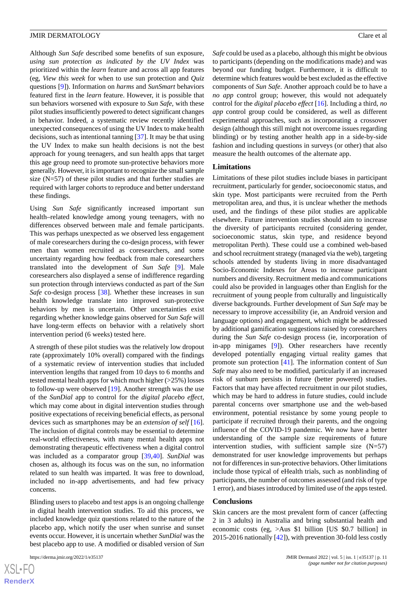Although *Sun Safe* described some benefits of sun exposure, *using sun protection as indicated by the UV Index* was prioritized within the *learn* feature and across all app features (eg, *View this week* for when to use sun protection and *Quiz* questions [\[9](#page-11-8)]). Information on *harms* and *SunSmart* behaviors featured first in the *learn* feature. However, it is possible that sun behaviors worsened with exposure to *Sun Safe*, with these pilot studies insufficiently powered to detect significant changes in behavior. Indeed, a systematic review recently identified unexpected consequences of using the UV Index to make health decisions, such as intentional tanning [[37\]](#page-13-3). It may be that using the UV Index to make sun health decisions is not the best approach for young teenagers, and sun health apps that target this age group need to promote sun-protective behaviors more generally. However, it is important to recognize the small sample size (N=57) of these pilot studies and that further studies are required with larger cohorts to reproduce and better understand these findings.

Using *Sun Safe* significantly increased important sun health–related knowledge among young teenagers, with no differences observed between male and female participants. This was perhaps unexpected as we observed less engagement of male coresearchers during the co-design process, with fewer men than women recruited as coresearchers, and some uncertainty regarding how feedback from male coresearchers translated into the development of *Sun Safe* [\[9](#page-11-8)]. Male coresearchers also displayed a sense of indifference regarding sun protection through interviews conducted as part of the *Sun Safe* co-design process [\[38](#page-13-4)]. Whether these increases in sun health knowledge translate into improved sun-protective behaviors by men is uncertain. Other uncertainties exist regarding whether knowledge gains observed for *Sun Safe* will have long-term effects on behavior with a relatively short intervention period (6 weeks) tested here.

A strength of these pilot studies was the relatively low dropout rate (approximately 10% overall) compared with the findings of a systematic review of intervention studies that included intervention lengths that ranged from 10 days to 6 months and tested mental health apps for which much higher (>25%) losses to follow-up were observed [[19\]](#page-12-11). Another strength was the use of the *SunDial* app to control for the *digital placebo effect*, which may come about in digital intervention studies through positive expectations of receiving beneficial effects, as personal devices such as smartphones may be an *extension of self* [[16\]](#page-12-8). The inclusion of digital controls may be essential to determine real-world effectiveness, with many mental health apps not demonstrating therapeutic effectiveness when a digital control was included as a comparator group [[39,](#page-13-5)[40](#page-13-6)]. *SunDial* was chosen as, although its focus was on the sun, no information related to sun health was imparted. It was free to download, included no in-app advertisements, and had few privacy concerns.

Blinding users to placebo and test apps is an ongoing challenge in digital health intervention studies. To aid this process, we included knowledge quiz questions related to the nature of the placebo app, which notify the user when sunrise and sunset events occur. However, it is uncertain whether *SunDial* was the best placebo app to use. A modified or disabled version of *Sun*

*Safe* could be used as a placebo, although this might be obvious to participants (depending on the modifications made) and was beyond our funding budget. Furthermore, it is difficult to determine which features would be best excluded as the effective components of *Sun Safe*. Another approach could be to have a *no app* control group; however, this would not adequately control for the *digital placebo effect* [\[16](#page-12-8)]. Including a third, *no app* control group could be considered, as well as different experimental approaches, such as incorporating a crossover design (although this still might not overcome issues regarding blinding) or by testing another health app in a side-by-side fashion and including questions in surveys (or other) that also measure the health outcomes of the alternate app.

#### **Limitations**

Limitations of these pilot studies include biases in participant recruitment, particularly for gender, socioeconomic status, and skin type. Most participants were recruited from the Perth metropolitan area, and thus, it is unclear whether the methods used, and the findings of these pilot studies are applicable elsewhere. Future intervention studies should aim to increase the diversity of participants recruited (considering gender, socioeconomic status, skin type, and residence beyond metropolitan Perth). These could use a combined web-based and school recruitment strategy (managed via the web), targeting schools attended by students living in more disadvantaged Socio-Economic Indexes for Areas to increase participant numbers and diversity. Recruitment media and communications could also be provided in languages other than English for the recruitment of young people from culturally and linguistically diverse backgrounds. Further development of *Sun Safe* may be necessary to improve accessibility (ie, an Android version and language options) and engagement, which might be addressed by additional gamification suggestions raised by coresearchers during the *Sun Safe* co-design process (ie, incorporation of in-app minigames [[9\]](#page-11-8)). Other researchers have recently developed potentially engaging virtual reality games that promote sun protection [[41\]](#page-13-7). The information content of *Sun Safe* may also need to be modified, particularly if an increased risk of sunburn persists in future (better powered) studies. Factors that may have affected recruitment in our pilot studies, which may be hard to address in future studies, could include parental concerns over smartphone use and the web-based environment, potential resistance by some young people to participate if recruited through their parents, and the ongoing influence of the COVID-19 pandemic. We now have a better understanding of the sample size requirements of future intervention studies, with sufficient sample size (N=57) demonstrated for user knowledge improvements but perhaps not for differences in sun-protective behaviors. Other limitations include those typical of eHealth trials, such as nonblinding of participants, the number of outcomes assessed (and risk of type 1 error), and biases introduced by limited use of the apps tested.

#### **Conclusions**

Skin cancers are the most prevalent form of cancer (affecting 2 in 3 adults) in Australia and bring substantial health and economic costs (eg, >Aus \$1 billion [US \$0.7 billion] in 2015-2016 nationally [\[42](#page-13-8)]), with prevention 30-fold less costly

 $XS$ -FO **[RenderX](http://www.renderx.com/)**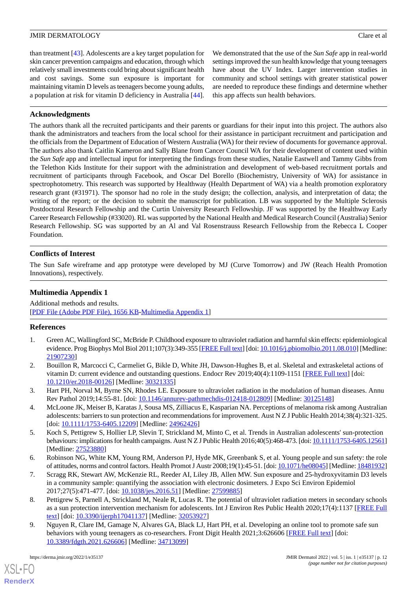than treatment [[43\]](#page-13-9). Adolescents are a key target population for skin cancer prevention campaigns and education, through which relatively small investments could bring about significant health and cost savings. Some sun exposure is important for maintaining vitamin D levels as teenagers become young adults, a population at risk for vitamin D deficiency in Australia [[44\]](#page-13-10).

We demonstrated that the use of the *Sun Safe* app in real-world settings improved the sun health knowledge that young teenagers have about the UV Index. Larger intervention studies in community and school settings with greater statistical power are needed to reproduce these findings and determine whether this app affects sun health behaviors.

# **Acknowledgments**

The authors thank all the recruited participants and their parents or guardians for their input into this project. The authors also thank the administrators and teachers from the local school for their assistance in participant recruitment and participation and the officials from the Department of Education of Western Australia (WA) for their review of documents for governance approval. The authors also thank Caitlin Kameron and Sally Blane from Cancer Council WA for their development of content used within the *Sun Safe* app and intellectual input for interpreting the findings from these studies, Natalie Eastwell and Tammy Gibbs from the Telethon Kids Institute for their support with the administration and development of web-based recruitment portals and recruitment of participants through Facebook, and Oscar Del Borello (Biochemistry, University of WA) for assistance in spectrophotometry. This research was supported by Healthway (Health Department of WA) via a health promotion exploratory research grant (#31971). The sponsor had no role in the study design; the collection, analysis, and interpretation of data; the writing of the report; or the decision to submit the manuscript for publication. LB was supported by the Multiple Sclerosis Postdoctoral Research Fellowship and the Curtin University Research Fellowship. JF was supported by the Healthway Early Career Research Fellowship (#33020). RL was supported by the National Health and Medical Research Council (Australia) Senior Research Fellowship. SG was supported by an Al and Val Rosenstrauss Research Fellowship from the Rebecca L Cooper Foundation.

# **Conflicts of Interest**

<span id="page-11-9"></span>The Sun Safe wireframe and app prototype were developed by MJ (Curve Tomorrow) and JW (Reach Health Promotion Innovations), respectively.

# **Multimedia Appendix 1**

<span id="page-11-0"></span>Additional methods and results. [[PDF File \(Adobe PDF File\), 1656 KB](https://jmir.org/api/download?alt_name=derma_v5i1e35137_app1.pdf&filename=a9413f0d168ad13cd6e3eb8013fec21c.pdf)-[Multimedia Appendix 1\]](https://jmir.org/api/download?alt_name=derma_v5i1e35137_app1.pdf&filename=a9413f0d168ad13cd6e3eb8013fec21c.pdf)

# <span id="page-11-1"></span>**References**

- <span id="page-11-2"></span>1. Green AC, Wallingford SC, McBride P. Childhood exposure to ultraviolet radiation and harmful skin effects: epidemiological evidence. Prog Biophys Mol Biol 2011;107(3):349-355 [[FREE Full text](http://europepmc.org/abstract/MED/21907230)] [doi: [10.1016/j.pbiomolbio.2011.08.010\]](http://dx.doi.org/10.1016/j.pbiomolbio.2011.08.010) [Medline: [21907230](http://www.ncbi.nlm.nih.gov/entrez/query.fcgi?cmd=Retrieve&db=PubMed&list_uids=21907230&dopt=Abstract)]
- <span id="page-11-3"></span>2. Bouillon R, Marcocci C, Carmeliet G, Bikle D, White JH, Dawson-Hughes B, et al. Skeletal and extraskeletal actions of vitamin D: current evidence and outstanding questions. Endocr Rev 2019;40(4):1109-1151 [[FREE Full text](http://europepmc.org/abstract/MED/30321335)] [doi: [10.1210/er.2018-00126\]](http://dx.doi.org/10.1210/er.2018-00126) [Medline: [30321335\]](http://www.ncbi.nlm.nih.gov/entrez/query.fcgi?cmd=Retrieve&db=PubMed&list_uids=30321335&dopt=Abstract)
- <span id="page-11-4"></span>3. Hart PH, Norval M, Byrne SN, Rhodes LE. Exposure to ultraviolet radiation in the modulation of human diseases. Annu Rev Pathol 2019;14:55-81. [doi: [10.1146/annurev-pathmechdis-012418-012809\]](http://dx.doi.org/10.1146/annurev-pathmechdis-012418-012809) [Medline: [30125148\]](http://www.ncbi.nlm.nih.gov/entrez/query.fcgi?cmd=Retrieve&db=PubMed&list_uids=30125148&dopt=Abstract)
- <span id="page-11-5"></span>4. McLoone JK, Meiser B, Karatas J, Sousa MS, Zilliacus E, Kasparian NA. Perceptions of melanoma risk among Australian adolescents: barriers to sun protection and recommendations for improvement. Aust N Z J Public Health 2014;38(4):321-325. [doi: [10.1111/1753-6405.12209](http://dx.doi.org/10.1111/1753-6405.12209)] [Medline: [24962426\]](http://www.ncbi.nlm.nih.gov/entrez/query.fcgi?cmd=Retrieve&db=PubMed&list_uids=24962426&dopt=Abstract)
- <span id="page-11-6"></span>5. Koch S, Pettigrew S, Hollier LP, Slevin T, Strickland M, Minto C, et al. Trends in Australian adolescents' sun-protection behaviours: implications for health campaigns. Aust N Z J Public Health 2016;40(5):468-473. [doi: [10.1111/1753-6405.12561\]](http://dx.doi.org/10.1111/1753-6405.12561) [Medline: [27523880](http://www.ncbi.nlm.nih.gov/entrez/query.fcgi?cmd=Retrieve&db=PubMed&list_uids=27523880&dopt=Abstract)]
- <span id="page-11-7"></span>6. Robinson NG, White KM, Young RM, Anderson PJ, Hyde MK, Greenbank S, et al. Young people and sun safety: the role of attitudes, norms and control factors. Health Promot J Austr 2008;19(1):45-51. [doi: [10.1071/he08045\]](http://dx.doi.org/10.1071/he08045) [Medline: [18481932\]](http://www.ncbi.nlm.nih.gov/entrez/query.fcgi?cmd=Retrieve&db=PubMed&list_uids=18481932&dopt=Abstract)
- <span id="page-11-8"></span>7. Scragg RK, Stewart AW, McKenzie RL, Reeder AI, Liley JB, Allen MW. Sun exposure and 25-hydroxyvitamin D3 levels in a community sample: quantifying the association with electronic dosimeters. J Expo Sci Environ Epidemiol 2017;27(5):471-477. [doi: [10.1038/jes.2016.51\]](http://dx.doi.org/10.1038/jes.2016.51) [Medline: [27599885\]](http://www.ncbi.nlm.nih.gov/entrez/query.fcgi?cmd=Retrieve&db=PubMed&list_uids=27599885&dopt=Abstract)
- 8. Pettigrew S, Parnell A, Strickland M, Neale R, Lucas R. The potential of ultraviolet radiation meters in secondary schools as a sun protection intervention mechanism for adolescents. Int J Environ Res Public Health 2020;17(4):1137 [[FREE Full](https://www.mdpi.com/resolver?pii=ijerph17041137) [text](https://www.mdpi.com/resolver?pii=ijerph17041137)] [doi: [10.3390/ijerph17041137](http://dx.doi.org/10.3390/ijerph17041137)] [Medline: [32053927\]](http://www.ncbi.nlm.nih.gov/entrez/query.fcgi?cmd=Retrieve&db=PubMed&list_uids=32053927&dopt=Abstract)
- 9. Nguyen R, Clare IM, Gamage N, Alvares GA, Black LJ, Hart PH, et al. Developing an online tool to promote safe sun behaviors with young teenagers as co-researchers. Front Digit Health 2021;3:626606 [\[FREE Full text](http://europepmc.org/abstract/MED/34713099)] [doi: [10.3389/fdgth.2021.626606\]](http://dx.doi.org/10.3389/fdgth.2021.626606) [Medline: [34713099\]](http://www.ncbi.nlm.nih.gov/entrez/query.fcgi?cmd=Retrieve&db=PubMed&list_uids=34713099&dopt=Abstract)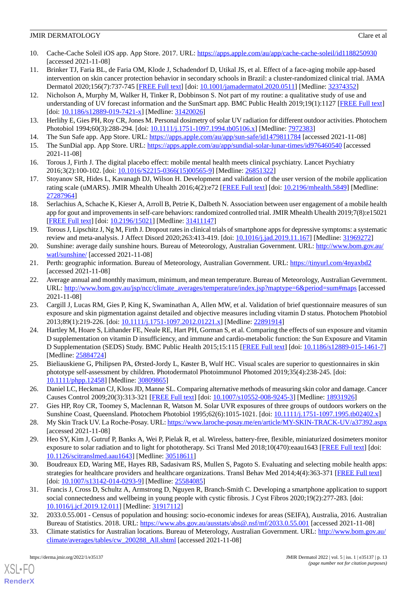- <span id="page-12-0"></span>10. Cache-Cache Soleil iOS app. App Store. 2017. URL: <https://apps.apple.com/au/app/cache-cache-soleil/id1188250930> [accessed 2021-11-08]
- <span id="page-12-1"></span>11. Brinker TJ, Faria BL, de Faria OM, Klode J, Schadendorf D, Utikal JS, et al. Effect of a face-aging mobile app-based intervention on skin cancer protection behavior in secondary schools in Brazil: a cluster-randomized clinical trial. JAMA Dermatol 2020;156(7):737-745 [\[FREE Full text\]](http://europepmc.org/abstract/MED/32374352) [doi: [10.1001/jamadermatol.2020.0511](http://dx.doi.org/10.1001/jamadermatol.2020.0511)] [Medline: [32374352\]](http://www.ncbi.nlm.nih.gov/entrez/query.fcgi?cmd=Retrieve&db=PubMed&list_uids=32374352&dopt=Abstract)
- <span id="page-12-2"></span>12. Nicholson A, Murphy M, Walker H, Tinker R, Dobbinson S. Not part of my routine: a qualitative study of use and understanding of UV forecast information and the SunSmart app. BMC Public Health 2019;19(1):1127 [\[FREE Full text\]](https://bmcpublichealth.biomedcentral.com/articles/10.1186/s12889-019-7421-x) [doi: [10.1186/s12889-019-7421-x](http://dx.doi.org/10.1186/s12889-019-7421-x)] [Medline: [31420026\]](http://www.ncbi.nlm.nih.gov/entrez/query.fcgi?cmd=Retrieve&db=PubMed&list_uids=31420026&dopt=Abstract)
- <span id="page-12-6"></span><span id="page-12-3"></span>13. Herlihy E, Gies PH, Roy CR, Jones M. Personal dosimetry of solar UV radiation for different outdoor activities. Photochem Photobiol 1994;60(3):288-294. [doi: [10.1111/j.1751-1097.1994.tb05106.x](http://dx.doi.org/10.1111/j.1751-1097.1994.tb05106.x)] [Medline: [7972383\]](http://www.ncbi.nlm.nih.gov/entrez/query.fcgi?cmd=Retrieve&db=PubMed&list_uids=7972383&dopt=Abstract)
- <span id="page-12-7"></span>14. The Sun Safe app. App Store. URL:<https://apps.apple.com/au/app/sun-safe/id1479811784> [accessed 2021-11-08]
- <span id="page-12-8"></span>15. The SunDial app. App Store. URL:<https://apps.apple.com/au/app/sundial-solar-lunar-times/id976460540> [accessed 2021-11-08]
- <span id="page-12-9"></span>16. Torous J, Firth J. The digital placebo effect: mobile mental health meets clinical psychiatry. Lancet Psychiatry 2016;3(2):100-102. [doi: [10.1016/S2215-0366\(15\)00565-9\]](http://dx.doi.org/10.1016/S2215-0366(15)00565-9) [Medline: [26851322](http://www.ncbi.nlm.nih.gov/entrez/query.fcgi?cmd=Retrieve&db=PubMed&list_uids=26851322&dopt=Abstract)]
- <span id="page-12-10"></span>17. Stoyanov SR, Hides L, Kavanagh DJ, Wilson H. Development and validation of the user version of the mobile application rating scale (uMARS). JMIR Mhealth Uhealth 2016;4(2):e72 [[FREE Full text](https://mhealth.jmir.org/2016/2/e72/)] [doi: [10.2196/mhealth.5849](http://dx.doi.org/10.2196/mhealth.5849)] [Medline: [27287964](http://www.ncbi.nlm.nih.gov/entrez/query.fcgi?cmd=Retrieve&db=PubMed&list_uids=27287964&dopt=Abstract)]
- <span id="page-12-11"></span>18. Serlachius A, Schache K, Kieser A, Arroll B, Petrie K, Dalbeth N. Association between user engagement of a mobile health app for gout and improvements in self-care behaviors: randomized controlled trial. JMIR Mhealth Uhealth 2019;7(8):e15021 [[FREE Full text](https://mhealth.jmir.org/2019/8/e15021/)] [doi: [10.2196/15021\]](http://dx.doi.org/10.2196/15021) [Medline: [31411147\]](http://www.ncbi.nlm.nih.gov/entrez/query.fcgi?cmd=Retrieve&db=PubMed&list_uids=31411147&dopt=Abstract)
- 19. Torous J, Lipschitz J, Ng M, Firth J. Dropout rates in clinical trials of smartphone apps for depressive symptoms: a systematic review and meta-analysis. J Affect Disord 2020;263:413-419. [doi: [10.1016/j.jad.2019.11.167](http://dx.doi.org/10.1016/j.jad.2019.11.167)] [Medline: [31969272\]](http://www.ncbi.nlm.nih.gov/entrez/query.fcgi?cmd=Retrieve&db=PubMed&list_uids=31969272&dopt=Abstract)
- 20. Sunshine: average daily sunshine hours. Bureau of Meteorology, Australian Government. URL: [http://www.bom.gov.au/](http://www.bom.gov.au/watl/sunshine/) [watl/sunshine/](http://www.bom.gov.au/watl/sunshine/) [accessed 2021-11-08]
- 21. Perth: geographic information. Bureau of Meteorology, Australian Government. URL: [https://tinyurl.com/4nyaxbd2](http://www.bom.gov.au/water/nwa/2017/perth/regiondescription/geographicinformation.shtml#:~:text=The%20Perth%20region%20is%20physically,the%20Harvey%20Water%20Irrigation%20Area) [accessed 2021-11-08]
- 22. Average annual and monthly maximum, minimum, and mean temperature. Bureau of Meteorology, Australian Gevernment. URL: [http://www.bom.gov.au/jsp/ncc/climate\\_averages/temperature/index.jsp?maptype=6&period=sum#maps](http://www.bom.gov.au/jsp/ncc/climate_averages/temperature/index.jsp?maptype=6&period=sum#maps) [accessed] 2021-11-08]
- 23. Cargill J, Lucas RM, Gies P, King K, Swaminathan A, Allen MW, et al. Validation of brief questionnaire measures of sun exposure and skin pigmentation against detailed and objective measures including vitamin D status. Photochem Photobiol 2013;89(1):219-226. [doi: [10.1111/j.1751-1097.2012.01221.x\]](http://dx.doi.org/10.1111/j.1751-1097.2012.01221.x) [Medline: [22891914\]](http://www.ncbi.nlm.nih.gov/entrez/query.fcgi?cmd=Retrieve&db=PubMed&list_uids=22891914&dopt=Abstract)
- 24. Hartley M, Hoare S, Lithander FE, Neale RE, Hart PH, Gorman S, et al. Comparing the effects of sun exposure and vitamin D supplementation on vitamin D insufficiency, and immune and cardio-metabolic function: the Sun Exposure and Vitamin D Supplementation (SEDS) Study. BMC Public Health 2015;15:115 [\[FREE Full text\]](https://bmcpublichealth.biomedcentral.com/articles/10.1186/s12889-015-1461-7) [doi: [10.1186/s12889-015-1461-7\]](http://dx.doi.org/10.1186/s12889-015-1461-7) [Medline: [25884724](http://www.ncbi.nlm.nih.gov/entrez/query.fcgi?cmd=Retrieve&db=PubMed&list_uids=25884724&dopt=Abstract)]
- 25. Bieliauskiene G, Philipsen PA, Ørsted-Jordy L, Køster B, Wulf HC. Visual scales are superior to questionnaires in skin phototype self-assessment by children. Photodermatol Photoimmunol Photomed 2019;35(4):238-245. [doi: [10.1111/phpp.12458](http://dx.doi.org/10.1111/phpp.12458)] [Medline: [30809865](http://www.ncbi.nlm.nih.gov/entrez/query.fcgi?cmd=Retrieve&db=PubMed&list_uids=30809865&dopt=Abstract)]
- 26. Daniel LC, Heckman CJ, Kloss JD, Manne SL. Comparing alternative methods of measuring skin color and damage. Cancer Causes Control 2009;20(3):313-321 [[FREE Full text](http://europepmc.org/abstract/MED/18931926)] [doi: [10.1007/s10552-008-9245-3\]](http://dx.doi.org/10.1007/s10552-008-9245-3) [Medline: [18931926](http://www.ncbi.nlm.nih.gov/entrez/query.fcgi?cmd=Retrieve&db=PubMed&list_uids=18931926&dopt=Abstract)]
- 27. Gies HP, Roy CR, Toomey S, Maclennan R, Watson M. Solar UVR exposures of three groups of outdoors workers on the Sunshine Coast, Queensland. Photochem Photobiol 1995;62(6):1015-1021. [doi: [10.1111/j.1751-1097.1995.tb02402.x\]](http://dx.doi.org/10.1111/j.1751-1097.1995.tb02402.x)
- 28. My Skin Track UV. La Roche-Posay. URL:<https://www.laroche-posay.me/en/article/MY-SKIN-TRACK-UV/a37392.aspx> [accessed 2021-11-08]
- 29. Heo SY, Kim J, Gutruf P, Banks A, Wei P, Pielak R, et al. Wireless, battery-free, flexible, miniaturized dosimeters monitor exposure to solar radiation and to light for phototherapy. Sci Transl Med 2018;10(470):eaau1643 [[FREE Full text](http://europepmc.org/abstract/MED/30518611)] [doi: [10.1126/scitranslmed.aau1643\]](http://dx.doi.org/10.1126/scitranslmed.aau1643) [Medline: [30518611](http://www.ncbi.nlm.nih.gov/entrez/query.fcgi?cmd=Retrieve&db=PubMed&list_uids=30518611&dopt=Abstract)]
- <span id="page-12-4"></span>30. Boudreaux ED, Waring ME, Hayes RB, Sadasivam RS, Mullen S, Pagoto S. Evaluating and selecting mobile health apps: strategies for healthcare providers and healthcare organizations. Transl Behav Med 2014;4(4):363-371 [[FREE Full text\]](http://europepmc.org/abstract/MED/25584085) [doi: [10.1007/s13142-014-0293-9](http://dx.doi.org/10.1007/s13142-014-0293-9)] [Medline: [25584085\]](http://www.ncbi.nlm.nih.gov/entrez/query.fcgi?cmd=Retrieve&db=PubMed&list_uids=25584085&dopt=Abstract)
- <span id="page-12-5"></span>31. Francis J, Cross D, Schultz A, Armstrong D, Nguyen R, Branch-Smith C. Developing a smartphone application to support social connectedness and wellbeing in young people with cystic fibrosis. J Cyst Fibros 2020;19(2):277-283. [doi: [10.1016/j.jcf.2019.12.011](http://dx.doi.org/10.1016/j.jcf.2019.12.011)] [Medline: [31917112\]](http://www.ncbi.nlm.nih.gov/entrez/query.fcgi?cmd=Retrieve&db=PubMed&list_uids=31917112&dopt=Abstract)
- 32. 2033.0.55.001 Census of population and housing: socio-economic indexes for areas (SEIFA), Australia, 2016. Australian Bureau of Statistics. 2018. URL:<https://www.abs.gov.au/ausstats/abs@.nsf/mf/2033.0.55.001> [accessed 2021-11-08]
- 33. Climate statistics for Australian locations. Bureau of Meterology, Australian Government. URL: [http://www.bom.gov.au/](http://www.bom.gov.au/climate/averages/tables/cw_200288_All.shtml) [climate/averages/tables/cw\\_200288\\_All.shtml](http://www.bom.gov.au/climate/averages/tables/cw_200288_All.shtml) [accessed 2021-11-08]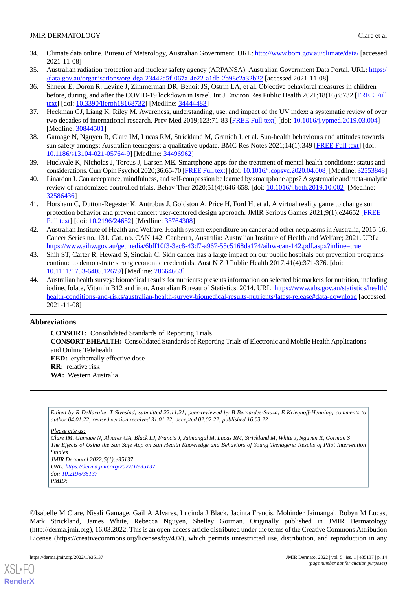- <span id="page-13-0"></span>34. Climate data online. Bureau of Meterology, Australian Government. URL:<http://www.bom.gov.au/climate/data/> [accessed 2021-11-08]
- <span id="page-13-2"></span><span id="page-13-1"></span>35. Australian radiation protection and nuclear safety agency (ARPANSA). Australian Government Data Portal. URL: [https:/](https://data.gov.au/organisations/org-dga-23442a5f-067a-4e22-a1db-2b98c2a32b22) [/data.gov.au/organisations/org-dga-23442a5f-067a-4e22-a1db-2b98c2a32b22](https://data.gov.au/organisations/org-dga-23442a5f-067a-4e22-a1db-2b98c2a32b22) [accessed 2021-11-08]
- 36. Shneor E, Doron R, Levine J, Zimmerman DR, Benoit JS, Ostrin LA, et al. Objective behavioral measures in children before, during, and after the COVID-19 lockdown in Israel. Int J Environ Res Public Health 2021;18(16):8732 [[FREE Full](https://www.mdpi.com/resolver?pii=ijerph18168732) [text](https://www.mdpi.com/resolver?pii=ijerph18168732)] [doi: [10.3390/ijerph18168732](http://dx.doi.org/10.3390/ijerph18168732)] [Medline: [34444483\]](http://www.ncbi.nlm.nih.gov/entrez/query.fcgi?cmd=Retrieve&db=PubMed&list_uids=34444483&dopt=Abstract)
- <span id="page-13-4"></span><span id="page-13-3"></span>37. Heckman CJ, Liang K, Riley M. Awareness, understanding, use, and impact of the UV index: a systematic review of over two decades of international research. Prev Med 2019;123:71-83 [\[FREE Full text\]](http://europepmc.org/abstract/MED/30844501) [doi: [10.1016/j.ypmed.2019.03.004](http://dx.doi.org/10.1016/j.ypmed.2019.03.004)] [Medline: [30844501](http://www.ncbi.nlm.nih.gov/entrez/query.fcgi?cmd=Retrieve&db=PubMed&list_uids=30844501&dopt=Abstract)]
- <span id="page-13-5"></span>38. Gamage N, Nguyen R, Clare IM, Lucas RM, Strickland M, Granich J, et al. Sun-health behaviours and attitudes towards sun safety amongst Australian teenagers: a qualitative update. BMC Res Notes 2021;14(1):349 [[FREE Full text](https://bmcresnotes.biomedcentral.com/articles/10.1186/s13104-021-05764-9)] [doi: [10.1186/s13104-021-05764-9\]](http://dx.doi.org/10.1186/s13104-021-05764-9) [Medline: [34496962\]](http://www.ncbi.nlm.nih.gov/entrez/query.fcgi?cmd=Retrieve&db=PubMed&list_uids=34496962&dopt=Abstract)
- <span id="page-13-6"></span>39. Huckvale K, Nicholas J, Torous J, Larsen ME. Smartphone apps for the treatment of mental health conditions: status and considerations. Curr Opin Psychol 2020;36:65-70 [[FREE Full text\]](https://linkinghub.elsevier.com/retrieve/pii/S2352-250X(20)30052-X) [doi: [10.1016/j.copsyc.2020.04.008\]](http://dx.doi.org/10.1016/j.copsyc.2020.04.008) [Medline: [32553848\]](http://www.ncbi.nlm.nih.gov/entrez/query.fcgi?cmd=Retrieve&db=PubMed&list_uids=32553848&dopt=Abstract)
- <span id="page-13-7"></span>40. Linardon J. Can acceptance, mindfulness, and self-compassion be learned by smartphone apps? A systematic and meta-analytic review of randomized controlled trials. Behav Ther 2020;51(4):646-658. [doi: [10.1016/j.beth.2019.10.002\]](http://dx.doi.org/10.1016/j.beth.2019.10.002) [Medline: [32586436](http://www.ncbi.nlm.nih.gov/entrez/query.fcgi?cmd=Retrieve&db=PubMed&list_uids=32586436&dopt=Abstract)]
- <span id="page-13-8"></span>41. Horsham C, Dutton-Regester K, Antrobus J, Goldston A, Price H, Ford H, et al. A virtual reality game to change sun protection behavior and prevent cancer: user-centered design approach. JMIR Serious Games 2021;9(1):e24652 [\[FREE](https://games.jmir.org/2021/1/e24652/) [Full text\]](https://games.jmir.org/2021/1/e24652/) [doi: [10.2196/24652\]](http://dx.doi.org/10.2196/24652) [Medline: [33764308](http://www.ncbi.nlm.nih.gov/entrez/query.fcgi?cmd=Retrieve&db=PubMed&list_uids=33764308&dopt=Abstract)]
- <span id="page-13-9"></span>42. Australian Institute of Health and Welfare. Health system expenditure on cancer and other neoplasms in Australia, 2015-16. Cancer Series no. 131. Cat. no. CAN 142. Canberra, Australia: Australian Institute of Health and Welfare; 2021. URL: <https://www.aihw.gov.au/getmedia/6bff10f3-3ec8-43d7-a967-55c5168da174/aihw-can-142.pdf.aspx?inline=true>
- <span id="page-13-10"></span>43. Shih ST, Carter R, Heward S, Sinclair C. Skin cancer has a large impact on our public hospitals but prevention programs continue to demonstrate strong economic credentials. Aust N Z J Public Health 2017;41(4):371-376. [doi: [10.1111/1753-6405.12679\]](http://dx.doi.org/10.1111/1753-6405.12679) [Medline: [28664663](http://www.ncbi.nlm.nih.gov/entrez/query.fcgi?cmd=Retrieve&db=PubMed&list_uids=28664663&dopt=Abstract)]
- 44. Australian health survey: biomedical results for nutrients: presents information on selected biomarkers for nutrition, including iodine, folate, Vitamin B12 and iron. Australian Bureau of Statistics. 2014. URL: [https://www.abs.gov.au/statistics/health/](https://www.abs.gov.au/statistics/health/health-conditions-and-risks/australian-health-survey-biomedical-results-nutrients/latest-release#data-download) [health-conditions-and-risks/australian-health-survey-biomedical-results-nutrients/latest-release#data-download](https://www.abs.gov.au/statistics/health/health-conditions-and-risks/australian-health-survey-biomedical-results-nutrients/latest-release#data-download) [accessed 2021-11-08]

# **Abbreviations**

**CONSORT:** Consolidated Standards of Reporting Trials **CONSORT-EHEALTH:** Consolidated Standards of Reporting Trials of Electronic and Mobile Health Applications and Online Telehealth **EED:** erythemally effective dose **RR:** relative risk **WA:** Western Australia

*Edited by R Dellavalle, T Sivesind; submitted 22.11.21; peer-reviewed by B Bernardes-Souza, E Krieghoff-Henning; comments to author 04.01.22; revised version received 31.01.22; accepted 02.02.22; published 16.03.22*

*Please cite as:*

*Clare IM, Gamage N, Alvares GA, Black LJ, Francis J, Jaimangal M, Lucas RM, Strickland M, White J, Nguyen R, Gorman S The Effects of Using the Sun Safe App on Sun Health Knowledge and Behaviors of Young Teenagers: Results of Pilot Intervention Studies JMIR Dermatol 2022;5(1):e35137*

*URL: <https://derma.jmir.org/2022/1/e35137> doi: [10.2196/35137](http://dx.doi.org/10.2196/35137) PMID:*

©Isabelle M Clare, Nisali Gamage, Gail A Alvares, Lucinda J Black, Jacinta Francis, Mohinder Jaimangal, Robyn M Lucas, Mark Strickland, James White, Rebecca Nguyen, Shelley Gorman. Originally published in JMIR Dermatology (http://derma.jmir.org), 16.03.2022. This is an open-access article distributed under the terms of the Creative Commons Attribution License (https://creativecommons.org/licenses/by/4.0/), which permits unrestricted use, distribution, and reproduction in any